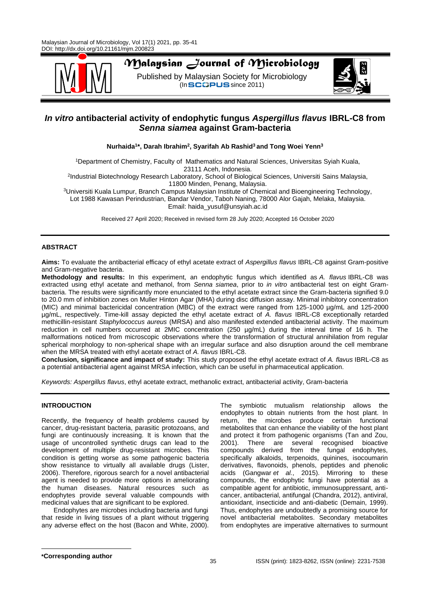

# *Malaysian Journal of Microbiology*

Published by Malaysian Society for Microbiology  $($ In SCOPUS since 2011)



# *In vitro* **antibacterial activity of endophytic fungus** *Aspergillus flavus* **IBRL-C8 from**  *Senna siamea* **against Gram-bacteria**

**Nurhaida<sup>1</sup> \*, Darah Ibrahim<sup>2</sup> , Syarifah Ab Rashid<sup>3</sup>and Tong Woei Yenn<sup>3</sup>**

<sup>1</sup>Department of Chemistry, Faculty of Mathematics and Natural Sciences, Universitas Syiah Kuala, 23111 Aceh, Indonesia. 2 Industrial Biotechnology Research Laboratory, School of Biological Sciences, Universiti Sains Malaysia,

11800 Minden, Penang, Malaysia.

<sup>3</sup>Universiti Kuala Lumpur, Branch Campus Malaysian Institute of Chemical and Bioengineering Technology, Lot 1988 Kawasan Perindustrian, Bandar Vendor, Taboh Naning, 78000 Alor Gajah, Melaka, Malaysia. Email: [haida\\_yusuf@unsyiah.ac.id](mailto:haida_yusuf@unsyiah.ac.id)

Received 27 April 2020; Received in revised form 28 July 2020; Accepted 16 October 2020

# **ABSTRACT**

**Aims:** To evaluate the antibacterial efficacy of ethyl acetate extract of *Aspergillus flavus* IBRL-C8 against Gram-positive and Gram-negative bacteria.

**Methodology and results:** In this experiment, an endophytic fungus which identified as *A. flavus* IBRL-C8 was extracted using ethyl acetate and methanol, from *Senna siamea*, prior to *in vitro* antibacterial test on eight Grambacteria. The results were significantly more enunciated to the ethyl acetate extract since the Gram-bacteria signified 9.0 to 20.0 mm of inhibition zones on Muller Hinton Agar (MHA) during disc diffusion assay. Minimal inhibitory concentration (MIC) and minimal bactericidal concentration (MBC) of the extract were ranged from 125-1000 µg/mL and 125-2000 µg/mL, respectively. Time-kill assay depicted the ethyl acetate extract of *A. flavus* IBRL-C8 exceptionally retarded methicillin-resistant *Staphylococcus aureus* (MRSA) and also manifested extended antibacterial activity. The maximum reduction in cell numbers occurred at 2MIC concentration (250 µg/mL) during the interval time of 16 h. The malformations noticed from microscopic observations where the transformation of structural annihilation from regular spherical morphology to non-spherical shape with an irregular surface and also disruption around the cell membrane when the MRSA treated with ethyl acetate extract of *A. flavus* IBRL-C8.

**Conclusion, significance and impact of study:** This study proposed the ethyl acetate extract of *A. flavus* IBRL-C8 as a potential antibacterial agent against MRSA infection, which can be useful in pharmaceutical application.

*Keywords: Aspergillus flavus*, ethyl acetate extract, methanolic extract, antibacterial activity, Gram-bacteria

# **INTRODUCTION**

Recently, the frequency of health problems caused by cancer, drug-resistant bacteria, parasitic protozoans, and fungi are continuously increasing. It is known that the usage of uncontrolled synthetic drugs can lead to the development of multiple drug-resistant microbes. This condition is getting worse as some pathogenic bacteria show resistance to virtually all available drugs (Lister, 2006). Therefore, rigorous search for a novel antibacterial agent is needed to provide more options in ameliorating the human diseases. Natural resources such as endophytes provide several valuable compounds with medicinal values that are significant to be explored.

Endophytes are microbes including bacteria and fungi that reside in living tissues of a plant without triggering any adverse effect on the host (Bacon and White, 2000).

The symbiotic mutualism relationship allows the endophytes to obtain nutrients from the host plant. In return, the microbes produce certain functional metabolites that can enhance the viability of the host plant and protect it from pathogenic organisms (Tan and Zou, 2001). There are several recognised bioactive compounds derived from the fungal endophytes, specifically alkaloids, terpenoids, quinines, isocoumarin derivatives, flavonoids, phenols, peptides and phenolic acids (Gangwar *et al.*, 2015). Mirroring to these compounds, the endophytic fungi have potential as a compatible agent for antibiotic, immunosuppressant, anticancer, antibacterial, antifungal (Chandra, 2012), antiviral, antioxidant, insecticide and anti-diabetic (Demain, 1999). Thus, endophytes are undoubtedly a promising source for novel antibacterial metabolites. Secondary metabolites from endophytes are imperative alternatives to surmount

**\*Corresponding author**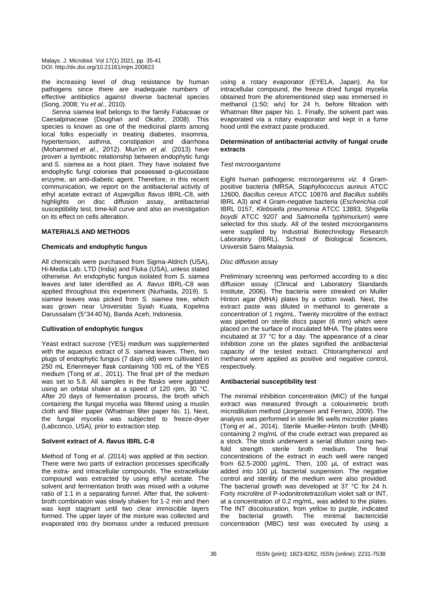the increasing level of drug resistance by human pathogens since there are inadequate numbers of effective antibiotics against diverse bacterial species (Song, 2008; Yu *et al.*, 2010).

*Senna siamea* leaf belongs to the family Fabaceae or Caesalpinaceae (Doughari and Okafor, 2008). This species is known as one of the medicinal plants among local folks especially in treating diabetes, insomnia, hypertension, asthma, constipation and diarrhoea (Mohammed *et al*., 2012). Mun'im *et al.* (2013) have proven a symbiotic relationship between endophytic fungi and *S. siamea* as a host plant. They have isolated five endophytic fungi colonies that possessed α-glucosidase enzyme, an anti-diabetic agent. Therefore, in this recent communication, we report on the antibacterial activity of ethyl acetate extract of *Aspergillus flavus* IBRL-C8, with highlights on disc diffusion assay, antibacterial susceptibility test, time-kill curve and also an investigation on its effect on cells alteration.

#### **MATERIALS AND METHODS**

#### **Chemicals and endophytic fungus**

All chemicals were purchased from Sigma-Aldrich (USA), Hi-Media Lab. LTD (India) and Fluka (USA), unless stated otherwise. An endophytic fungus isolated from *S. siamea* leaves and later identified as *A. flavus* IBRL-C8 was applied throughout this experiment (Nurhaida, 2019). *S. siamea* leaves was picked from *S. siamea* tree, which was grown near Universitas Syiah Kuala, Kopelma Darussalam (5°34'40"N), Banda Aceh, Indonesia.

# **Cultivation of endophytic fungus**

Yeast extract sucrose (YES) medium was supplemented with the aqueous extract of *S. siamea* leaves. Then, two plugs of endophytic fungus (7 days old) were cultivated in 250 mL Erlenmeyer flask containing 100 mL of the YES medium (Tong *et al*., 2011). The final pH of the medium was set to 5.8. All samples in the flasks were agitated using an orbital shaker at a speed of 120 rpm, 30 °C. After 20 days of fermentation process, the broth which containing the fungal mycelia was filtered using a muslin cloth and filter paper (Whatman filter paper No. 1). Next, the fungal mycelia was subjected to freeze-dryer (Labconco, USA), prior to extraction step.

# **Solvent extract of** *A. flavus* **IBRL C-8**

Method of Tong *et al*. (2014) was applied at this section. There were two parts of extraction processes specifically the extra- and intracellular compounds. The extracellular compound was extracted by using ethyl acetate. The solvent and fermentation broth was mixed with a volume ratio of 1:1 in a separating funnel. After that, the solventbroth combination was slowly shaken for 1-2 min and then was kept stagnant until two clear immiscible layers formed. The upper layer of the mixture was collected and evaporated into dry biomass under a reduced pressure

using a rotary evaporator (EYELA, Japan). As for intracellular compound, the freeze dried fungal mycelia obtained from the aforementioned step was immersed in methanol (1:50; w/v) for 24 h, before filtration with Whatman filter paper No. 1. Finally, the solvent part was evaporated via a rotary evaporator and kept in a fume hood until the extract paste produced.

#### **Determination of antibacterial activity of fungal crude extracts**

#### *Test microorganisms*

Eight human pathogenic microorganisms *viz.* 4 Grampositive bacteria (MRSA, *Staphylococcus aureus* ATCC 12600, *Bacillus cereus* ATCC 10876 and *Bacillus subtilis* IBRL A3) and 4 Gram-negative bacteria (*Escherichia coli* IBRL 0157, *Klebsiella pneumonia* ATCC 13883, *Shigella boydii* ATCC 9207 and *Salmonella typhimurium*) were selected for this study. All of the tested microorganisms were supplied by Industrial Biotechnology Research Laboratory (IBRL), School of Biological Sciences, Universiti Sains Malaysia.

#### *Disc diffusion assay*

Preliminary screening was performed according to a disc diffusion assay (Clinical and Laboratory Standards Institute, 2006). The bacteria were streaked on Muller Hinton agar (MHA) plates by a cotton swab. Next, the extract paste was diluted in methanol to generate a concentration of 1 mg/mL. Twenty microlitre of the extract was pipetted on sterile discs paper (6 mm) which were placed on the surface of inoculated MHA. The plates were incubated at 37 °C for a day. The appearance of a clear inhibition zone on the plates signified the antibacterial capacity of the tested extract. Chloramphenicol and methanol were applied as positive and negative control, respectively.

#### **Antibacterial susceptibility test**

The minimal inhibition concentration (MIC) of the fungal extract was measured through a colourimetric broth microdilution method (Jorgensen and Ferraro, 2009). The analysis was performed in sterile 96 wells microtiter plates (Tong *et al.*, 2014). Sterile Mueller-Hinton broth (MHB) containing 2 mg/mL of the crude extract was prepared as a stock. The stock underwent a serial dilution using twofold strength sterile broth medium. The final concentrations of the extract in each well were ranged from 62.5-2000 µg/mL. Then, 100 µL of extract was added into 100 µL bacterial suspension. The negative control and sterility of the medium were also provided. The bacterial growth was developed at 37 °C for 24 h. Forty microlitre of P-iodonitrotetrazolium violet salt or INT, at a concentration of 0.2 mg/mL, was added to the plates. The INT discolouration, from yellow to purple, indicated the bacterial growth. The minimal bactericidal concentration (MBC) test was executed by using a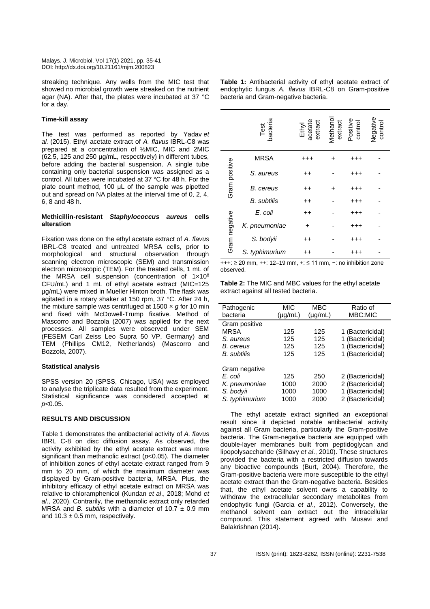streaking technique. Any wells from the MIC test that showed no microbial growth were streaked on the nutrient agar (NA). After that, the plates were incubated at 37 °C for a day.

#### **Time-kill assay**

The test was performed as reported by Yadav *et al.* (2015). Ethyl acetate extract of *A. flavus* IBRL-C8 was prepared at a concentration of ½MIC, MIC and 2MIC (62.5, 125 and 250 µg/mL, respectively) in different tubes, before adding the bacterial suspension. A single tube containing only bacterial suspension was assigned as a control. All tubes were incubated at 37 °C for 48 h. For the plate count method, 100 μL of the sample was pipetted out and spread on NA plates at the interval time of 0, 2, 4, 6, 8 and  $48$  h.

# **Methicillin-resistant** *Staphylococcus aureus* **cells alteration**

Fixation was done on the ethyl acetate extract of *A. flavus* IBRL-C8 treated and untreated MRSA cells, prior to morphological and structural observation through scanning electron microscopic (SEM) and transmission electron microscopic (TEM). For the treated cells, 1 mL of the MRSA cell suspension (concentration of 1x108 CFU/mL) and 1 mL of ethyl acetate extract (MIC=125 µg/mL) were mixed in Mueller Hinton broth. The flask was agitated in a rotary shaker at 150 rpm, 37 °C. After 24 h, the mixture sample was centrifuged at 1500 × *g* for 10 min and fixed with McDowell-Trump fixative. Method of Mascorro and Bozzola (2007) was applied for the next processes. All samples were observed under SEM (FESEM Carl Zeiss Leo Supra 50 VP, Germany) and TEM (Phillips CM12, Netherlands) (Mascorro and Bozzola, 2007).

# **Statistical analysis**

SPSS version 20 (SPSS, Chicago, USA) was employed to analyse the triplicate data resulted from the experiment. Statistical significance was considered accepted at *p*<0.05.

# **RESULTS AND DISCUSSION**

Table 1 demonstrates the antibacterial activity of *A. flavus* IBRL C-8 on disc diffusion assay. As observed, the activity exhibited by the ethyl acetate extract was more significant than methanolic extract (*p*<0.05). The diameter of inhibition zones of ethyl acetate extract ranged from 9 mm to 20 mm, of which the maximum diameter was displayed by Gram-positive bacteria, MRSA. Plus, the inhibitory efficacy of ethyl acetate extract on MRSA was relative to chloramphenicol (Kundan *et al*., 2018; Mohd *et al*., 2020). Contrarily, the methanolic extract only retarded MRSA and *B. subtilis* with a diameter of 10.7 ± 0.9 mm and  $10.3 \pm 0.5$  mm, respectively.

| <b>Table 1:</b> Antibacterial activity of ethyl acetate extract of |  |  |  |  |  |  |  |  |
|--------------------------------------------------------------------|--|--|--|--|--|--|--|--|
| endophytic fungus A. flavus IBRL-C8 on Gram-positive               |  |  |  |  |  |  |  |  |
| bacteria and Gram-negative bacteria.                               |  |  |  |  |  |  |  |  |

|               | Test<br>bacteria   | Ethyl<br>acetate<br>extract |           | Methanol<br>extract<br>Positive<br>control | Negative<br>control |
|---------------|--------------------|-----------------------------|-----------|--------------------------------------------|---------------------|
|               | <b>MRSA</b>        | $^{\rm ++}$                 | ٠         | $^{+++}$                                   |                     |
| Gram positive | S. aureus          | $^{\mathrm{+}}$             |           | $^{+++}$                                   |                     |
|               | B. cereus          | $^{\mathrm{+}}$             | $\ddot{}$ | $^{+++}$                                   |                     |
|               | <b>B.</b> subtilis | $^{\mathrm{+}}$             |           | +++                                        |                     |
|               | E. coli            | $^{\mathrm{+}}$             |           | $^{+++}$                                   |                     |
|               | K. pneumoniae      | +                           |           | $^{\rm ++}$                                |                     |
| Gram negative | S. bodyii          | $^{\mathrm{+}}$             |           | +++                                        |                     |
|               | S. typhimurium     | $^{\mathrm{+}}$             |           | +++                                        |                     |

+++: ≥ 20 mm, ++: 12−19 mm, +: ≤ 11 mm, −: no inhibition zone observed.

**Table 2:** The MIC and MBC values for the ethyl acetate extract against all tested bacteria.

| Pathogenic         | MIC          | MBC          | Ratio of         |
|--------------------|--------------|--------------|------------------|
| bacteria           | $(\mu g/mL)$ | $(\mu g/mL)$ | MBC:MIC          |
| Gram positive      |              |              |                  |
| MRSA               | 125          | 125          | 1 (Bactericidal) |
| S. aureus          | 125          | 125          | 1 (Bactericidal) |
| B. cereus          | 125          | 125          | 1 (Bactericidal) |
| <b>B.</b> subtilis | 125          | 125          | 1 (Bactericidal) |
|                    |              |              |                  |
| Gram negative      |              |              |                  |
| E. coli            | 125          | 250          | 2 (Bactericidal) |
| K. pneumoniae      | 1000         | 2000         | 2 (Bactericidal) |
| S. bodvii          | 1000         | 1000         | 1 (Bactericidal) |
| S. typhimurium     | 1000         | 2000         | 2 (Bactericidal) |

The ethyl acetate extract signified an exceptional result since it depicted notable antibacterial activity against all Gram bacteria, particularly the Gram-positive bacteria. The Gram-negative bacteria are equipped with double-layer membranes built from peptidoglycan and lipopolysaccharide (Silhavy *et al*., 2010). These structures provided the bacteria with a restricted diffusion towards any bioactive compounds (Burt, 2004). Therefore, the Gram-positive bacteria were more susceptible to the ethyl acetate extract than the Gram-negative bacteria. Besides that, the ethyl acetate solvent owns a capability to withdraw the extracellular secondary metabolites from endophytic fungi (Garcia *et al*., 2012). Conversely, the methanol solvent can extract out the intracellular compound. This statement agreed with Musavi and Balakrishnan (2014).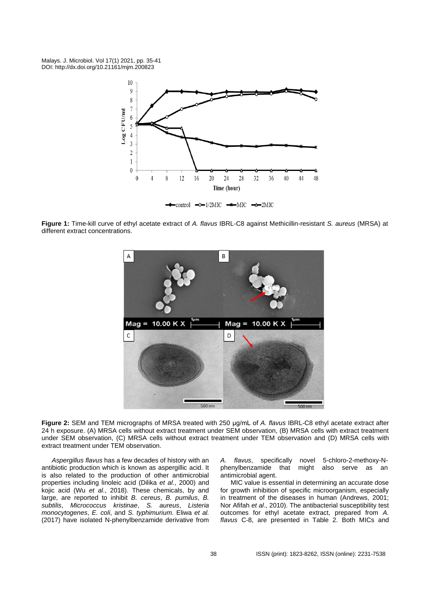

**Figure 1:** Time-kill curve of ethyl acetate extract of *A. flavus* IBRL-C8 against Methicillin-resistant *S. aureus* (MRSA) at different extract concentrations.



**Figure 2:** SEM and TEM micrographs of MRSA treated with 250 μg/mL of *A. flavus* IBRL-C8 ethyl acetate extract after 24 h exposure. (A) MRSA cells without extract treatment under SEM observation, (B) MRSA cells with extract treatment under SEM observation, (C) MRSA cells without extract treatment under TEM observation and (D) MRSA cells with extract treatment under TEM observation.

*Aspergillus flavus* has a few decades of history with an antibiotic production which is known as aspergillic acid. It is also related to the production of other antimicrobial properties including linoleic acid (Dilika *et al*., 2000) and kojic acid (Wu *et al*., 2018). These chemicals, by and large, are reported to inhibit *B. cereus*, *B. pumilus*, *B. subtilis*, *Micrococcus kristinae*, *S. aureus*, *Listeria monocytogenes*, *E. coli*, and *S. typhimurium*. Eliwa *et al.* (2017) have isolated N-phenylbenzamide derivative from

*A. flavus*, specifically novel 5-chloro-2-methoxy-Nphenylbenzamide that might also serve as an antimicrobial agent.

MIC value is essential in determining an accurate dose for growth inhibition of specific microorganism, especially in treatment of the diseases in human (Andrews, 2001; Nor Afifah *et al*., 2010). The antibacterial susceptibility test outcomes for ethyl acetate extract, prepared from *A. flavus* C-8, are presented in Table 2. Both MICs and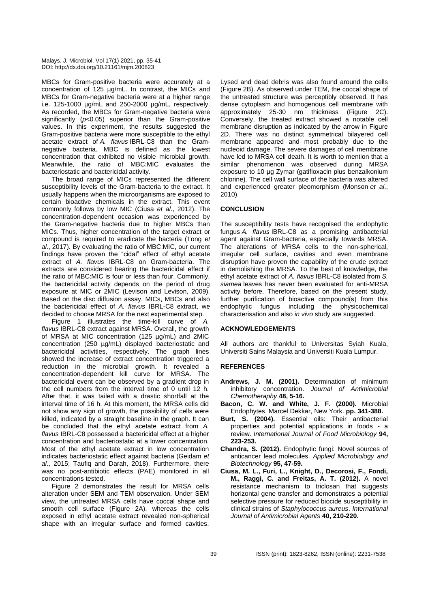MBCs for Gram-positive bacteria were accurately at a concentration of 125 µg/mL. In contrast, the MICs and MBCs for Gram-negative bacteria were at a higher range i.e. 125-1000 µg/mL and 250-2000 µg/mL, respectively. As recorded, the MBCs for Gram-negative bacteria were significantly (*p*<0.05) superior than the Gram-positive values. In this experiment, the results suggested the Gram-positive bacteria were more susceptible to the ethyl acetate extract of *A. flavus* IBRL-C8 than the Gramnegative bacteria. MBC is defined as the lowest concentration that exhibited no visible microbial growth. Meanwhile, the ratio of MBC:MIC evaluates the bacteriostatic and bactericidal activity.

The broad range of MICs represented the different susceptibility levels of the Gram-bacteria to the extract. It usually happens when the microorganisms are exposed to certain bioactive chemicals in the extract. This event commonly follows by low MIC (Ciusa *et al*., 2012). The concentration-dependent occasion was experienced by the Gram-negative bacteria due to higher MBCs than MICs. Thus, higher concentration of the target extract or compound is required to eradicate the bacteria (Tong *et al*., 2017). By evaluating the ratio of MBC:MIC, our current findings have proven the "cidal" effect of ethyl acetate extract of *A. flavus* IBRL-C8 on Gram-bacteria. The extracts are considered bearing the bactericidal effect if the ratio of MBC:MIC is four or less than four. Commonly, the bactericidal activity depends on the period of drug exposure at MIC or 2MIC (Levison and Levison, 2009). Based on the disc diffusion assay, MICs, MBCs and also the bactericidal effect of *A. flavus* IBRL-C8 extract, we decided to choose MRSA for the next experimental step.

Figure 1 illustrates the time-kill curve of *A. flavus* IBRL-C8 extract against MRSA. Overall, the growth of MRSA at MIC concentration (125 µg/mL) and 2MIC concentration (250 µg/mL) displayed bacteriostatic and bactericidal activities, respectively. The graph lines showed the increase of extract concentration triggered a reduction in the microbial growth. It revealed a concentration-dependent kill curve for MRSA. The bactericidal event can be observed by a gradient drop in the cell numbers from the interval time of 0 until 12 h. After that, it was tailed with a drastic shortfall at the interval time of 16 h. At this moment, the MRSA cells did not show any sign of growth, the possibility of cells were killed, indicated by a straight baseline in the graph. It can be concluded that the ethyl acetate extract from *A. flavus* IBRL-C8 possessed a bactericidal effect at a higher concentration and bacteriostatic at a lower concentration. Most of the ethyl acetate extract in low concentration indicates bacteriostatic effect against bacteria (Geidam *et al*., 2015; Taufiq and Darah, 2018). Furthermore, there was no post-antibiotic effects (PAE) monitored in all concentrations tested.

Figure 2 demonstrates the result for MRSA cells alteration under SEM and TEM observation. Under SEM view, the untreated MRSA cells have coccal shape and smooth cell surface (Figure 2A), whereas the cells exposed in ethyl acetate extract revealed non-spherical shape with an irregular surface and formed cavities.

Lysed and dead debris was also found around the cells (Figure 2B). As observed under TEM, the coccal shape of the untreated structure was perceptibly observed. It has dense cytoplasm and homogenous cell membrane with approximately 25-30 nm thickness (Figure 2C). Conversely, the treated extract showed a notable cell membrane disruption as indicated by the arrow in Figure 2D. There was no distinct symmetrical bilayered cell membrane appeared and most probably due to the nucleoid damage. The severe damages of cell membrane have led to MRSA cell death. It is worth to mention that a similar phenomenon was observed during MRSA exposure to 10 µg Zymar (gatifloxacin plus benzalkonium chlorine). The cell wall surface of the bacteria was altered and experienced greater pleomorphism (Monson *et al*., 2010).

# **CONCLUSION**

The susceptibility tests have recognised the endophytic fungus *A. flavus* IBRL-C8 as a promising antibacterial agent against Gram-bacteria, especially towards MRSA. The alterations of MRSA cells to the non-spherical, irregular cell surface, cavities and even membrane disruption have proven the capability of the crude extract in demolishing the MRSA. To the best of knowledge, the ethyl acetate extract of *A. flavus* IBRL-C8 isolated from *S. siamea* leaves has never been evaluated for anti-MRSA activity before. Therefore, based on the present study, further purification of bioactive compound(s) from this endophytic fungus including the physicochemical characterisation and also *in vivo* study are suggested.

# **ACKNOWLEDGEMENTS**

All authors are thankful to Universitas Syiah Kuala, Universiti Sains Malaysia and Universiti Kuala Lumpur.

#### **REFERENCES**

- **Andrews, J. M. (2001).** Determination of minimum inhibitory concentration. *Journal of Antimicrobial Chemotheraphy* **48, 5-16.**
- **Bacon, C. W. and White, J. F. (2000).** Microbial Endophytes. Marcel Dekkar, New York. **pp. 341-388.**
- **Burt, S. (2004).** Essential oils: Their antibacterial properties and potential applications in foods - a review. *International Journal of Food Microbiology* **94, 223-253.**
- **Chandra, S. (2012).** Endophytic fungi: Novel sources of anticancer lead molecules. *Applied Microbiology and Biotechnology* **95, 47-59.**
- **Ciusa, M. L., Furi, L., Knight, D., Decorosi, F., Fondi, M., Raggi, C. and Freitas, A. T. (2012).** A novel resistance mechanism to triclosan that suggests horizontal gene transfer and demonstrates a potential selective pressure for reduced biocide susceptibility in clinical strains of *Staphylococcus aureus*. *International Journal of Antimicrobial Agents* **40, 210-220.**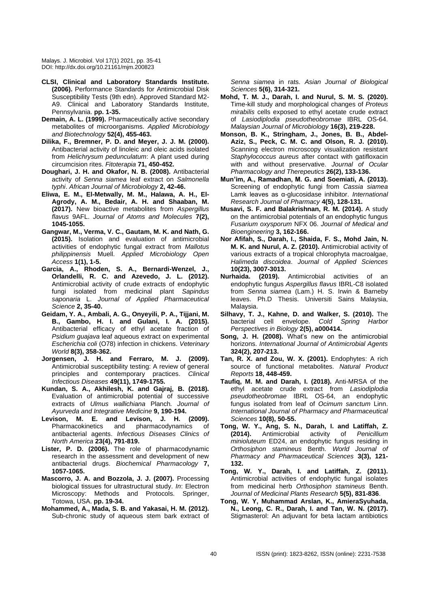- **CLSI, Clinical and Laboratory Standards Institute. (2006).** Performance Standards for Antimicrobial Disk Susceptibility Tests (9th edn). Approved Standard M2- A9. Clinical and Laboratory Standards Institute, Pennsylvania. **pp. 1-35.**
- **Demain, A. L. (1999).** Pharmaceutically active secondary metabolites of microorganisms. *Applied Microbiology and Biotechnology* **52(4), 455-463.**
- **Dilika, F., Bremner, P. D. and Meyer, J. J. M. (2000).** Antibacterial activity of linoleic and oleic acids isolated from *Helichrysum pedunculatum*: A plant used during circumcision rites. *Fitoterapia* **71, 450-452.**
- **Doughari, J. H. and Okafor, N. B. (2008).** Antibacterial activity of *Senna siamea* leaf extract on *Salmonella typhi*. *African Journal of Microbiology* **2, 42-46.**
- **Eliwa, E. M., El-Metwally, M. M., Halawa, A. H., El-Agrody, A. M., Bedair, A. H. and Shaaban, M. (2017).** New bioactive metabolites from *Aspergillus flavus* 9AFL. *Journal of Atoms and Molecules* **7(2), 1045-1055.**
- **Gangwar, M., Verma, V. C., Gautam, M. K. and Nath, G. (2015).** Isolation and evaluation of antimicrobial activities of endophytic fungal extract from *Mallotus philippinensis* Muell. *Applied Microbiology Open Access* **1(1), 1-5.**
- **Garcia, A., Rhoden, S. A., Bernardi-Wenzel, J., Orlandelli, R. C. and Azevedo, J. L. (2012).**  Antimicrobial activity of crude extracts of endophytic fungi isolated from medicinal plant *Sapindus saponaria* L. *Journal of Applied Pharmaceutical Science* **2, 35-40.**
- **Geidam, Y. A., Ambali, A. G., Onyeyili, P. A., Tijjani, M. B., Gambo, H. I. and Gulani, I. A. (2015).**  Antibacterial efficacy of ethyl acetate fraction of *Psidium guajava* leaf aqueous extract on experimental *Escherichia coli* (O78) infection in chickens. *Veterinary World* **8(3), 358-362.**
- **Jorgensen, J. H. and Ferraro, M. J. (2009).** Antimicrobial susceptibility testing: A review of general principles and contemporary practices. *Clinical Infectious Diseases* **49(11), 1749-1755.**
- **Kundan, S. A., Akhilesh, K. and Gajraj, B. (2018).** Evaluation of antimicrobial potential of successive extracts of *Ulmus wallichiana* Planch*. Journal of Ayurveda and Integrative Medicine* **9, 190-194.**
- **Levison, M. E. and Levison, J. H. (2009).** Pharmacokinetics and pharmacodynamics of antibacterial agents. *Infectious Diseases Clinics of North America* **23(4), 791-819.**
- **Lister, P. D. (2006).** The role of pharmacodynamic research in the assessment and development of new antibacterial drugs. *Biochemical Pharmacology* **7, 1057-1065.**
- **Mascorro, J. A. and Bozzola, J. J. (2007).** Processing biological tissues for ultrastructural study. *In*: Electron Microscopy: Methods and Protocols. Springer, Totowa, USA. **pp. 19-34.**
- **Mohammed, A., Mada, S. B. and Yakasai, H. M. (2012).** Sub-chronic study of aqueous stem bark extract of

*Senna siamea* in rats. *Asian Journal of Biological Sciences* **5(6), 314-321.**

- **Mohd, T. M. J., Darah, I. and Nurul, S. M. S. (2020).** Time-kill study and morphological changes of *Proteus mirabilis* cells exposed to ethyl acetate crude extract of *Lasiodiplodia pseudotheobromae* IBRL OS-64. *Malaysian Journal of Microbiology* **16(3), 219-228.**
- **Monson, B. K., Stringham, J., Jones, B. B., Abdel-Aziz, S., Peck, C. M. C. and Olson, R. J. (2010).** Scanning electron microscopy visualization resistant *Staphylococcus aureus* after contact with gatifloxacin with and without preservative. *Journal of Ocular Pharmacology and Therepeutics* **26(2), 133-136.**
- **Mun'im, A., Ramadhan, M. G. and Soemiati, A. (2013).** Screening of endophytic fungi from *Cassia siamea* Lamk leaves as α-glucosidase inhibitor. *International Research Journal of Pharmacy* **4(5), 128-131.**
- **Musavi, S. F. and Balakrishnan, R. M. (2014).** A study on the antimicrobial potentials of an endophytic fungus *Fusarium oxysporum* NFX 06. *Journal of Medical and Bioengineering* **3, 162-166.**
- **Nor Afifah, S., Darah, I., Shaida, F. S., Mohd Jain, N. M. K. and Nurul, A. Z. (2010).** Antimicrobial activity of various extracts of a tropical chlorophyta macroalgae, *Halimeda discoidea*. *Journal of Applied Sciences* **10(23), 3007-3013.**
- **Nurhaida. (2019).** Antimicrobial activities of an endophytic fungus *Aspergillus flavus* IBRL-C8 isolated from *Senna siamea* (Lam.) H. S. Irwin & Barneby leaves. Ph.D Thesis. Universiti Sains Malaysia, Malaysia.
- **Silhavy, T. J., Kahne, D. and Walker, S. (2010).** The bacterial cell envelope. *Cold Spring Harbor Perspectives in Biology* **2(5), a000414.**
- **Song, J. H. (2008).** What's new on the antimicrobial horizons. *International Journal of Antimicrobial Agents* **324(2), 207-213.**
- **Tan, R. X. and Zou, W. X. (2001).** Endophytes: A rich source of functional metabolites. *Natural Product Reports* **18, 448-459.**
- **Taufiq, M. M. and Darah, I. (2018).** Anti-MRSA of the ethyl acetate crude extract from *Lasiodiplodia pseudotheobromae* IBRL OS-64, an endophytic fungus isolated from leaf of *Ocimum sanctum* Linn. *International Journal of Pharmacy and Pharmaceutical Sciences* **10(8), 50-55.**
- **Tong, W. Y., Ang, S. N., Darah, I. and Latiffah, Z. (2014).** Antimicrobial activity of *Penicillium minioluteum* ED24, an endophytic fungus residing in *Orthosiphon stamineus* Benth. *World Journal of Pharmacy and Pharmaceutical Sciences* **3(3), 121- 132.**
- **Tong, W. Y., Darah, I. and Latiffah, Z. (2011).** Antimicrobial activities of endophytic fungal isolates from medicinal herb *Orthosiphon stamineus* Benth. *Journal of Medicinal Plants Research* **5(5), 831-836**.
- **Tong, W. Y, Muhammad Arslan, K., AmieraSyuhada, N., Leong, C. R., Darah, I. and Tan, W. N. (2017).** Stigmasterol: An adjuvant for beta lactam antibiotics